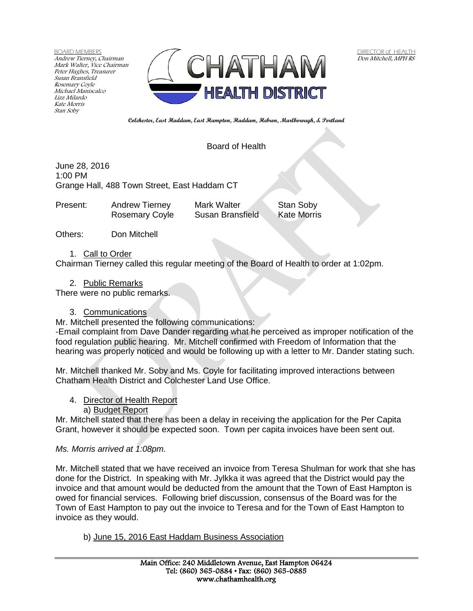BOARD MEMBERS Andrew Tierney, Chairman Mark Walter, Vice Chairman Peter Hughes, Treasurer Susan Bransfield Rosemary Coyle Michael Maniscalco Lizz Milardo Kate Morris Stan Soby



 DIRECTOR of HEALTH Don Mitchell, MPH RS

**Colchester, East Haddam, East Hampton, Haddam, Hebron, Marlborough, & Portland**

### Board of Health

June 28, 2016 1:00 PM Grange Hall, 488 Town Street, East Haddam CT

| Present: | Andrew Tierney        | <b>Mark Walter</b> | Stan Soby   |
|----------|-----------------------|--------------------|-------------|
|          | <b>Rosemary Coyle</b> | Susan Bransfield   | Kate Morris |

Others: Don Mitchell

1. Call to Order

Chairman Tierney called this regular meeting of the Board of Health to order at 1:02pm.

2. Public Remarks

There were no public remarks.

### 3. Communications

Mr. Mitchell presented the following communications:

-Email complaint from Dave Dander regarding what he perceived as improper notification of the food regulation public hearing. Mr. Mitchell confirmed with Freedom of Information that the hearing was properly noticed and would be following up with a letter to Mr. Dander stating such.

Mr. Mitchell thanked Mr. Soby and Ms. Coyle for facilitating improved interactions between Chatham Health District and Colchester Land Use Office.

### 4. Director of Health Report

### a) Budget Report

Mr. Mitchell stated that there has been a delay in receiving the application for the Per Capita Grant, however it should be expected soon. Town per capita invoices have been sent out.

### *Ms. Morris arrived at 1:08pm.*

Mr. Mitchell stated that we have received an invoice from Teresa Shulman for work that she has done for the District. In speaking with Mr. Jylkka it was agreed that the District would pay the invoice and that amount would be deducted from the amount that the Town of East Hampton is owed for financial services. Following brief discussion, consensus of the Board was for the Town of East Hampton to pay out the invoice to Teresa and for the Town of East Hampton to invoice as they would.

b) June 15, 2016 East Haddam Business Association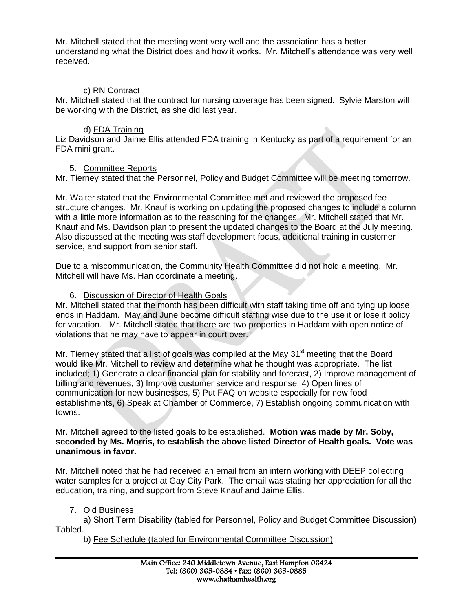Mr. Mitchell stated that the meeting went very well and the association has a better understanding what the District does and how it works. Mr. Mitchell's attendance was very well received.

## c) RN Contract

Mr. Mitchell stated that the contract for nursing coverage has been signed. Sylvie Marston will be working with the District, as she did last year.

## d) FDA Training

Liz Davidson and Jaime Ellis attended FDA training in Kentucky as part of a requirement for an FDA mini grant.

## 5. Committee Reports

Mr. Tierney stated that the Personnel, Policy and Budget Committee will be meeting tomorrow.

Mr. Walter stated that the Environmental Committee met and reviewed the proposed fee structure changes. Mr. Knauf is working on updating the proposed changes to include a column with a little more information as to the reasoning for the changes. Mr. Mitchell stated that Mr. Knauf and Ms. Davidson plan to present the updated changes to the Board at the July meeting. Also discussed at the meeting was staff development focus, additional training in customer service, and support from senior staff.

Due to a miscommunication, the Community Health Committee did not hold a meeting. Mr. Mitchell will have Ms. Han coordinate a meeting.

## 6. Discussion of Director of Health Goals

Mr. Mitchell stated that the month has been difficult with staff taking time off and tying up loose ends in Haddam. May and June become difficult staffing wise due to the use it or lose it policy for vacation. Mr. Mitchell stated that there are two properties in Haddam with open notice of violations that he may have to appear in court over.

Mr. Tierney stated that a list of goals was compiled at the May  $31<sup>st</sup>$  meeting that the Board would like Mr. Mitchell to review and determine what he thought was appropriate. The list included; 1) Generate a clear financial plan for stability and forecast, 2) Improve management of billing and revenues, 3) Improve customer service and response, 4) Open lines of communication for new businesses, 5) Put FAQ on website especially for new food establishments, 6) Speak at Chamber of Commerce, 7) Establish ongoing communication with towns.

#### Mr. Mitchell agreed to the listed goals to be established. **Motion was made by Mr. Soby, seconded by Ms. Morris, to establish the above listed Director of Health goals. Vote was unanimous in favor.**

Mr. Mitchell noted that he had received an email from an intern working with DEEP collecting water samples for a project at Gay City Park. The email was stating her appreciation for all the education, training, and support from Steve Knauf and Jaime Ellis.

## 7. Old Business

a) Short Term Disability (tabled for Personnel, Policy and Budget Committee Discussion) Tabled.

b) Fee Schedule (tabled for Environmental Committee Discussion)